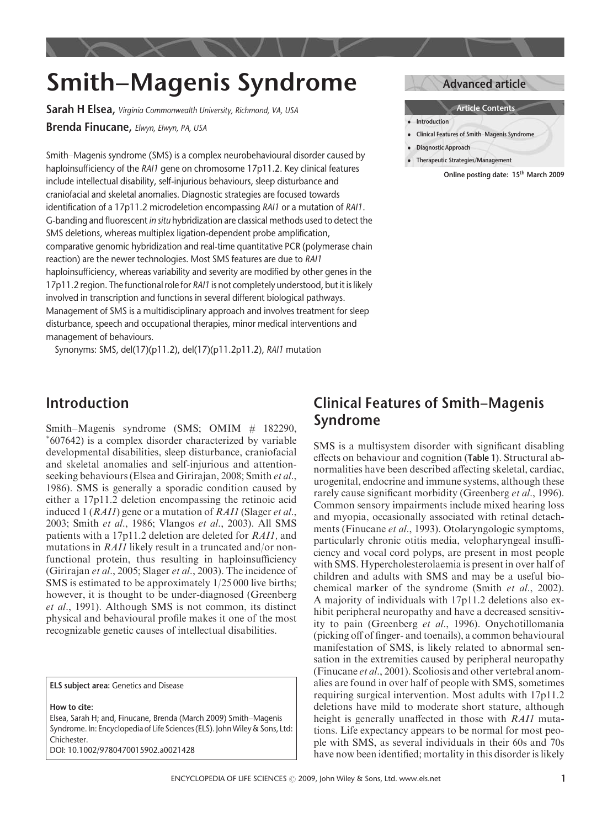# Smith–Magenis Syndrome

Sarah H Elsea, Virginia Commonwealth University, Richmond, VA, USA Brenda Finucane, Elwyn, Elwyn, PA, USA

Smith–Magenis syndrome (SMS) is a complex neurobehavioural disorder caused by haploinsufficiency of the RAI1 gene on chromosome 17p11.2. Key clinical features include intellectual disability, self-injurious behaviours, sleep disturbance and craniofacial and skeletal anomalies. Diagnostic strategies are focused towards identification of a 17p11.2 microdeletion encompassing RAI1 or a mutation of RAI1. G-banding and fluorescent in situ hybridization are classical methods used to detect the SMS deletions, whereas multiplex ligation-dependent probe amplification, comparative genomic hybridization and real-time quantitative PCR (polymerase chain reaction) are the newer technologies. Most SMS features are due to RAI1 haploinsufficiency, whereas variability and severity are modified by other genes in the 17p11.2 region. The functional role for RAI1 is not completely understood, but it is likely involved in transcription and functions in several different biological pathways. Management of SMS is a multidisciplinary approach and involves treatment for sleep disturbance, speech and occupational therapies, minor medical interventions and management of behaviours.

Synonyms: SMS, del(17)(p11.2), del(17)(p11.2p11.2), RAI1 mutation

### Advanced article

### Article Contents

- . Introduction
- . Clinical Features of Smith–Magenis Syndrome
- . Diagnostic Approach
- . Therapeutic Strategies/Management

# Introduction

Smith–Magenis syndrome (SMS; OMIM # 182290, 607642) is a complex disorder characterized by variable developmental disabilities, sleep disturbance, craniofacial and skeletal anomalies and self-injurious and attentionseeking behaviours (Elsea and Girirajan, 2008; Smith et al., 1986). SMS is generally a sporadic condition caused by either a 17p11.2 deletion encompassing the retinoic acid induced 1 (RAII) gene or a mutation of RAII (Slager et al., 2003; Smith et al., 1986; Vlangos et al., 2003). All SMS patients with a 17p11.2 deletion are deleted for RAI1, and mutations in *RAI1* likely result in a truncated and/or nonfunctional protein, thus resulting in haploinsufficiency (Girirajan et al., 2005; Slager et al., 2003). The incidence of SMS is estimated to be approximately 1/25 000 live births; however, it is thought to be under-diagnosed (Greenberg et al., 1991). Although SMS is not common, its distinct physical and behavioural profile makes it one of the most recognizable genetic causes of intellectual disabilities.

ELS subject area: Genetics and Disease

How to cite: Elsea, Sarah H; and, Finucane, Brenda (March 2009) Smith–Magenis Syndrome. In: Encyclopedia of Life Sciences (ELS). John Wiley & Sons, Ltd: Chichester. DOI: 10.1002/9780470015902.a0021428

# Clinical Features of Smith–Magenis Syndrome

SMS is a multisystem disorder with significant disabling effects on behaviour and cognition (Table 1). Structural abnormalities have been described affecting skeletal, cardiac, urogenital, endocrine and immune systems, although these rarely cause significant morbidity (Greenberg *et al.*, 1996). Common sensory impairments include mixed hearing loss and myopia, occasionally associated with retinal detachments (Finucane et al., 1993). Otolaryngologic symptoms, particularly chronic otitis media, velopharyngeal insufficiency and vocal cord polyps, are present in most people with SMS. Hypercholesterolaemia is present in over half of children and adults with SMS and may be a useful biochemical marker of the syndrome (Smith et al., 2002). A majority of individuals with 17p11.2 deletions also exhibit peripheral neuropathy and have a decreased sensitivity to pain (Greenberg et al., 1996). Onychotillomania (picking off of finger- and toenails), a common behavioural manifestation of SMS, is likely related to abnormal sensation in the extremities caused by peripheral neuropathy (Finucane et al., 2001). Scoliosis and other vertebral anomalies are found in over half of people with SMS, sometimes requiring surgical intervention. Most adults with 17p11.2 deletions have mild to moderate short stature, although height is generally unaffected in those with *RAI1* mutations. Life expectancy appears to be normal for most people with SMS, as several individuals in their 60s and 70s have now been identified; mortality in this disorder is likely

Online posting date: 15<sup>th</sup> March 2009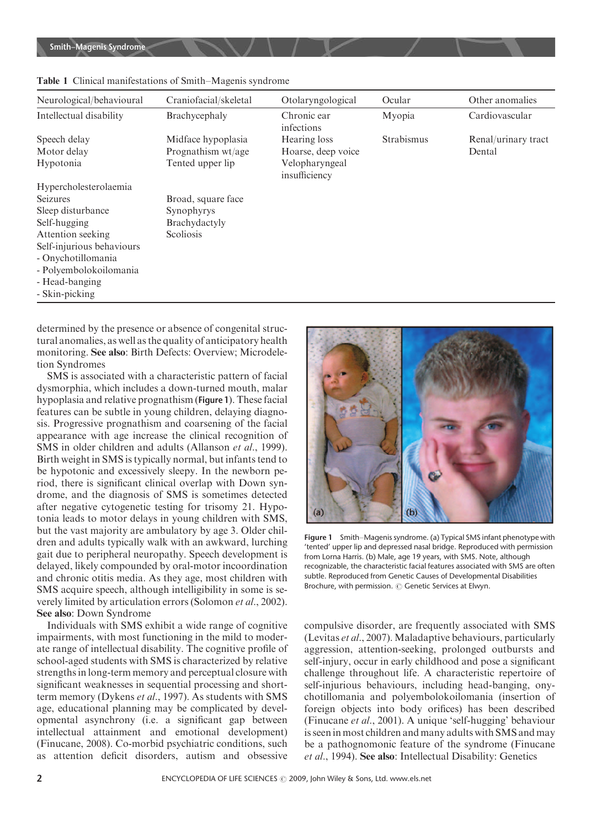| Neurological/behavioural  | Craniofacial/skeletal | Otolaryngological               | Ocular            | Other anomalies     |
|---------------------------|-----------------------|---------------------------------|-------------------|---------------------|
| Intellectual disability   | Brachycephaly         | Chronic ear<br>infections       | Myopia            | Cardiovascular      |
| Speech delay              | Midface hypoplasia    | Hearing loss                    | <b>Strabismus</b> | Renal/urinary tract |
| Motor delay               | Prognathism wt/age    | Hoarse, deep voice              |                   | Dental              |
| Hypotonia                 | Tented upper lip      | Velopharyngeal<br>insufficiency |                   |                     |
| Hypercholesterolaemia     |                       |                                 |                   |                     |
| <b>Seizures</b>           | Broad, square face    |                                 |                   |                     |
| Sleep disturbance         | Synophyrys            |                                 |                   |                     |
| Self-hugging              | Brachydactyly         |                                 |                   |                     |
| Attention seeking         | Scoliosis             |                                 |                   |                     |
| Self-injurious behaviours |                       |                                 |                   |                     |
| - Onychotillomania        |                       |                                 |                   |                     |
| - Polyembolokoilomania    |                       |                                 |                   |                     |
| - Head-banging            |                       |                                 |                   |                     |
| - Skin-picking            |                       |                                 |                   |                     |

| <b>Table 1</b> Clinical manifestations of Smith–Magenis syndrome |
|------------------------------------------------------------------|
|------------------------------------------------------------------|

determined by the presence or absence of congenital structural anomalies, as well as the quality of anticipatory health monitoring. See also: Birth Defects: Overview; Microdeletion Syndromes

SMS is associated with a characteristic pattern of facial dysmorphia, which includes a down-turned mouth, malar hypoplasia and relative prognathism (Figure 1). These facial features can be subtle in young children, delaying diagnosis. Progressive prognathism and coarsening of the facial appearance with age increase the clinical recognition of SMS in older children and adults (Allanson et al., 1999). Birth weight in SMS is typically normal, but infants tend to be hypotonic and excessively sleepy. In the newborn period, there is significant clinical overlap with Down syndrome, and the diagnosis of SMS is sometimes detected after negative cytogenetic testing for trisomy 21. Hypotonia leads to motor delays in young children with SMS, but the vast majority are ambulatory by age 3. Older children and adults typically walk with an awkward, lurching gait due to peripheral neuropathy. Speech development is delayed, likely compounded by oral-motor incoordination and chronic otitis media. As they age, most children with SMS acquire speech, although intelligibility in some is severely limited by articulation errors (Solomon et al., 2002). See also: Down Syndrome

Individuals with SMS exhibit a wide range of cognitive impairments, with most functioning in the mild to moderate range of intellectual disability. The cognitive profile of school-aged students with SMS is characterized by relative strengths in long-term memory and perceptual closure with significant weaknesses in sequential processing and shortterm memory (Dykens et al., 1997). As students with SMS age, educational planning may be complicated by developmental asynchrony (i.e. a significant gap between intellectual attainment and emotional development) (Finucane, 2008). Co-morbid psychiatric conditions, such as attention deficit disorders, autism and obsessive



Figure 1 Smith–Magenis syndrome. (a) Typical SMS infant phenotype with 'tented' upper lip and depressed nasal bridge. Reproduced with permission from Lorna Harris. (b) Male, age 19 years, with SMS. Note, although recognizable, the characteristic facial features associated with SMS are often subtle. Reproduced from Genetic Causes of Developmental Disabilities Brochure, with permission.  $\odot$  Genetic Services at Elwyn.

compulsive disorder, are frequently associated with SMS (Levitas et al., 2007). Maladaptive behaviours, particularly aggression, attention-seeking, prolonged outbursts and self-injury, occur in early childhood and pose a significant challenge throughout life. A characteristic repertoire of self-injurious behaviours, including head-banging, onychotillomania and polyembolokoilomania (insertion of foreign objects into body orifices) has been described (Finucane et al., 2001). A unique 'self-hugging' behaviour is seen in most children and many adults with SMS and may be a pathognomonic feature of the syndrome (Finucane et al., 1994). See also: Intellectual Disability: Genetics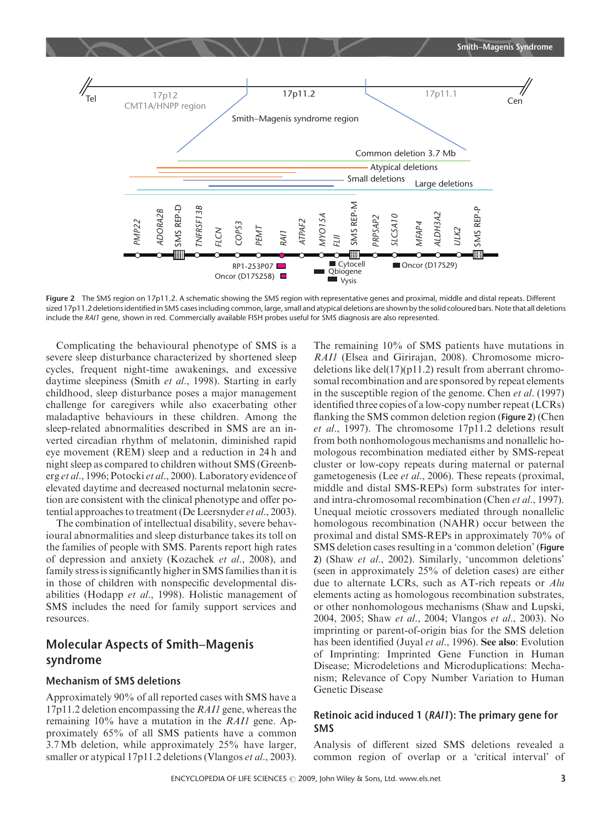

Figure 2 The SMS region on 17p11.2. A schematic showing the SMS region with representative genes and proximal, middle and distal repeats. Different sized 17p11.2 deletions identified in SMS cases including common, large, small and atypical deletions are shown by the solid coloured bars. Note that all deletions include the RAI1 gene, shown in red. Commercially available FISH probes useful for SMS diagnosis are also represented.

Complicating the behavioural phenotype of SMS is a severe sleep disturbance characterized by shortened sleep cycles, frequent night-time awakenings, and excessive daytime sleepiness (Smith et al., 1998). Starting in early childhood, sleep disturbance poses a major management challenge for caregivers while also exacerbating other maladaptive behaviours in these children. Among the sleep-related abnormalities described in SMS are an inverted circadian rhythm of melatonin, diminished rapid eye movement (REM) sleep and a reduction in 24 h and night sleep as compared to children without SMS (Greenberg et al., 1996; Potocki et al., 2000). Laboratory evidence of elevated daytime and decreased nocturnal melatonin secretion are consistent with the clinical phenotype and offer potential approaches to treatment (De Leersnyder et al., 2003).

The combination of intellectual disability, severe behavioural abnormalities and sleep disturbance takes its toll on the families of people with SMS. Parents report high rates of depression and anxiety (Kozachek et al., 2008), and family stress is significantly higher in SMS families than it is in those of children with nonspecific developmental disabilities (Hodapp et al., 1998). Holistic management of SMS includes the need for family support services and resources.

## Molecular Aspects of Smith–Magenis syndrome

#### Mechanism of SMS deletions

Approximately 90% of all reported cases with SMS have a 17p11.2 deletion encompassing the RAI1 gene, whereas the remaining 10% have a mutation in the *RAI1* gene. Approximately 65% of all SMS patients have a common 3.7 Mb deletion, while approximately 25% have larger, smaller or atypical 17p11.2 deletions (Vlangos et al., 2003). The remaining 10% of SMS patients have mutations in RAI1 (Elsea and Girirajan, 2008). Chromosome microdeletions like del(17)(p11.2) result from aberrant chromosomal recombination and are sponsored by repeat elements in the susceptible region of the genome. Chen et al. (1997) identified three copies of a low-copy number repeat (LCRs) flanking the SMS common deletion region (Figure 2) (Chen et al., 1997). The chromosome 17p11.2 deletions result from both nonhomologous mechanisms and nonallelic homologous recombination mediated either by SMS-repeat cluster or low-copy repeats during maternal or paternal gametogenesis (Lee et al., 2006). These repeats (proximal, middle and distal SMS-REPs) form substrates for interand intra-chromosomal recombination (Chen et al., 1997). Unequal meiotic crossovers mediated through nonallelic homologous recombination (NAHR) occur between the proximal and distal SMS-REPs in approximately 70% of SMS deletion cases resulting in a 'common deletion' (Figure 2) (Shaw et al., 2002). Similarly, 'uncommon deletions' (seen in approximately 25% of deletion cases) are either due to alternate LCRs, such as AT-rich repeats or Alu elements acting as homologous recombination substrates, or other nonhomologous mechanisms (Shaw and Lupski, 2004, 2005; Shaw et al., 2004; Vlangos et al., 2003). No imprinting or parent-of-origin bias for the SMS deletion has been identified (Juyal et al., 1996). See also: Evolution of Imprinting: Imprinted Gene Function in Human Disease; Microdeletions and Microduplications: Mechanism; Relevance of Copy Number Variation to Human Genetic Disease

#### Retinoic acid induced 1 (RAI1): The primary gene for SMS

Analysis of different sized SMS deletions revealed a common region of overlap or a 'critical interval' of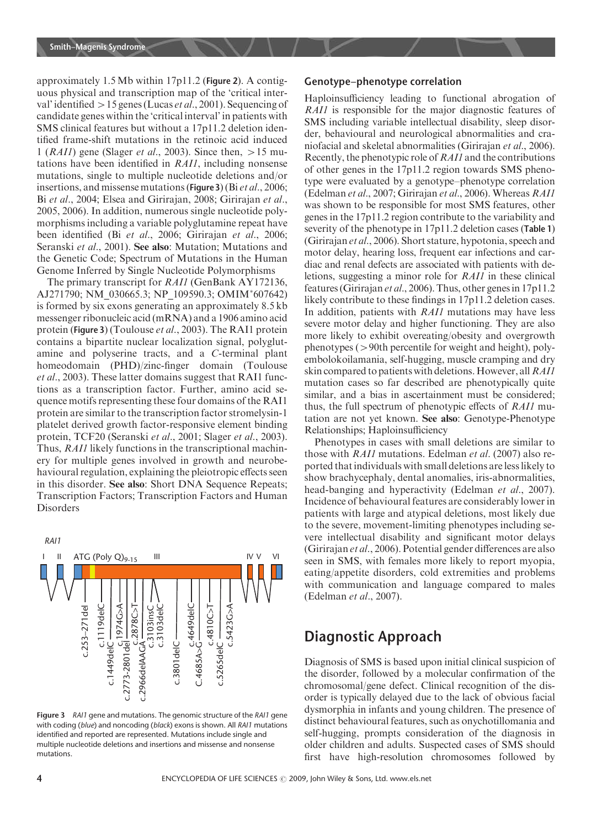approximately 1.5 Mb within 17p11.2 (Figure 2). A contiguous physical and transcription map of the 'critical interval' identified  $>15$  genes (Lucas *et al.*, 2001). Sequencing of candidate genes within the 'critical interval' in patients with SMS clinical features but without a 17p11.2 deletion identified frame-shift mutations in the retinoic acid induced 1 (*RAII*) gene (Slager *et al.*, 2003). Since then,  $> 15$  mutations have been identified in RAI1, including nonsense mutations, single to multiple nucleotide deletions and/or insertions, and missense mutations (Figure 3) (Bi et al., 2006; Bi et al., 2004; Elsea and Girirajan, 2008; Girirajan et al., 2005, 2006). In addition, numerous single nucleotide polymorphisms including a variable polyglutamine repeat have been identified (Bi et al., 2006; Girirajan et al., 2006; Seranski et al., 2001). See also: Mutation; Mutations and the Genetic Code; Spectrum of Mutations in the Human Genome Inferred by Single Nucleotide Polymorphisms

The primary transcript for RAI1 (GenBank AY172136, AJ271790; NM\_030665.3; NP\_109590.3; OMIM 607642) is formed by six exons generating an approximately 8.5 kb messenger ribonucleic acid (mRNA) and a 1906 amino acid protein (Figure 3) (Toulouse et al., 2003). The RAI1 protein contains a bipartite nuclear localization signal, polyglutamine and polyserine tracts, and a C-terminal plant homeodomain (PHD)/zinc-finger domain (Toulouse et al., 2003). These latter domains suggest that RAI1 functions as a transcription factor. Further, amino acid sequence motifs representing these four domains of the RAI1 protein are similar to the transcription factor stromelysin-1 platelet derived growth factor-responsive element binding protein, TCF20 (Seranski et al., 2001; Slager et al., 2003). Thus, RAI1 likely functions in the transcriptional machinery for multiple genes involved in growth and neurobehavioural regulation, explaining the pleiotropic effects seen in this disorder. See also: Short DNA Sequence Repeats; Transcription Factors; Transcription Factors and Human Disorders



Figure 3 RAI1 gene and mutations. The genomic structure of the RAI1 gene with coding (blue) and noncoding (black) exons is shown. All RAI1 mutations identified and reported are represented. Mutations include single and multiple nucleotide deletions and insertions and missense and nonsense mutations.

#### Genotype–phenotype correlation

Haploinsufficiency leading to functional abrogation of RAI1 is responsible for the major diagnostic features of SMS including variable intellectual disability, sleep disorder, behavioural and neurological abnormalities and craniofacial and skeletal abnormalities (Girirajan et al., 2006). Recently, the phenotypic role of RAI1 and the contributions of other genes in the 17p11.2 region towards SMS phenotype were evaluated by a genotype–phenotype correlation (Edelman et al., 2007; Girirajan et al., 2006). Whereas RAII was shown to be responsible for most SMS features, other genes in the 17p11.2 region contribute to the variability and severity of the phenotype in 17p11.2 deletion cases (Table 1) (Girirajan et al., 2006). Short stature, hypotonia, speech and motor delay, hearing loss, frequent ear infections and cardiac and renal defects are associated with patients with deletions, suggesting a minor role for RAI1 in these clinical features (Girirajan et al., 2006). Thus, other genes in 17p11.2 likely contribute to these findings in  $17p11.2$  deletion cases. In addition, patients with *RAI1* mutations may have less severe motor delay and higher functioning. They are also more likely to exhibit overeating/obesity and overgrowth phenotypes ( $>90$ th percentile for weight and height), polyembolokoilamania, self-hugging, muscle cramping and dry skin compared to patients with deletions. However, all RAI1 mutation cases so far described are phenotypically quite similar, and a bias in ascertainment must be considered; thus, the full spectrum of phenotypic effects of RAI1 mutation are not yet known. See also: Genotype-Phenotype Relationships; Haploinsufficiency

Phenotypes in cases with small deletions are similar to those with *RAI1* mutations. Edelman *et al.* (2007) also reported that individuals with small deletions are less likely to show brachycephaly, dental anomalies, iris-abnormalities, head-banging and hyperactivity (Edelman et al., 2007). Incidence of behavioural features are considerably lower in patients with large and atypical deletions, most likely due to the severe, movement-limiting phenotypes including severe intellectual disability and significant motor delays (Girirajan et al., 2006). Potential gender differences are also seen in SMS, with females more likely to report myopia, eating/appetite disorders, cold extremities and problems with communication and language compared to males (Edelman et al., 2007).

# Diagnostic Approach

Diagnosis of SMS is based upon initial clinical suspicion of the disorder, followed by a molecular confirmation of the chromosomal/gene defect. Clinical recognition of the disorder is typically delayed due to the lack of obvious facial dysmorphia in infants and young children. The presence of distinct behavioural features, such as onychotillomania and self-hugging, prompts consideration of the diagnosis in older children and adults. Suspected cases of SMS should first have high-resolution chromosomes followed by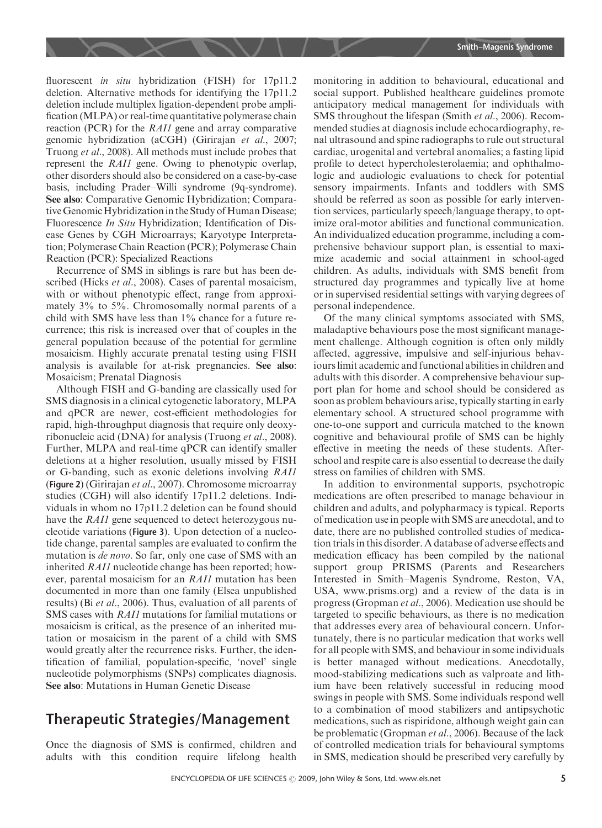fluorescent in situ hybridization (FISH) for 17p11.2 deletion. Alternative methods for identifying the 17p11.2 deletion include multiplex ligation-dependent probe amplification (MLPA) or real-time quantitative polymerase chain reaction (PCR) for the RAI1 gene and array comparative genomic hybridization (aCGH) (Girirajan et al., 2007; Truong et al., 2008). All methods must include probes that represent the RAI1 gene. Owing to phenotypic overlap, other disorders should also be considered on a case-by-case basis, including Prader–Willi syndrome (9q-syndrome). See also: Comparative Genomic Hybridization; Comparative Genomic Hybridization in the Study of Human Disease; Fluorescence In Situ Hybridization; Identification of Disease Genes by CGH Microarrays; Karyotype Interpretation; Polymerase Chain Reaction (PCR); Polymerase Chain Reaction (PCR): Specialized Reactions

Recurrence of SMS in siblings is rare but has been described (Hicks et al., 2008). Cases of parental mosaicism, with or without phenotypic effect, range from approximately 3% to 5%. Chromosomally normal parents of a child with SMS have less than 1% chance for a future recurrence; this risk is increased over that of couples in the general population because of the potential for germline mosaicism. Highly accurate prenatal testing using FISH analysis is available for at-risk pregnancies. See also: Mosaicism; Prenatal Diagnosis

Although FISH and G-banding are classically used for SMS diagnosis in a clinical cytogenetic laboratory, MLPA and qPCR are newer, cost-efficient methodologies for rapid, high-throughput diagnosis that require only deoxyribonucleic acid (DNA) for analysis (Truong et al., 2008). Further, MLPA and real-time qPCR can identify smaller deletions at a higher resolution, usually missed by FISH or G-banding, such as exonic deletions involving RAI1 (Figure 2) (Girirajan et al., 2007). Chromosome microarray studies (CGH) will also identify 17p11.2 deletions. Individuals in whom no 17p11.2 deletion can be found should have the RAI1 gene sequenced to detect heterozygous nucleotide variations (Figure 3). Upon detection of a nucleotide change, parental samples are evaluated to confirm the mutation is de novo. So far, only one case of SMS with an inherited RAI1 nucleotide change has been reported; however, parental mosaicism for an RAI1 mutation has been documented in more than one family (Elsea unpublished results) (Bi et al., 2006). Thus, evaluation of all parents of SMS cases with RAI1 mutations for familial mutations or mosaicism is critical, as the presence of an inherited mutation or mosaicism in the parent of a child with SMS would greatly alter the recurrence risks. Further, the identification of familial, population-specific, 'novel' single nucleotide polymorphisms (SNPs) complicates diagnosis. See also: Mutations in Human Genetic Disease

# Therapeutic Strategies/Management

Once the diagnosis of SMS is confirmed, children and adults with this condition require lifelong health monitoring in addition to behavioural, educational and social support. Published healthcare guidelines promote anticipatory medical management for individuals with SMS throughout the lifespan (Smith et al., 2006). Recommended studies at diagnosis include echocardiography, renal ultrasound and spine radiographs to rule out structural cardiac, urogenital and vertebral anomalies; a fasting lipid profile to detect hypercholesterolaemia; and ophthalmologic and audiologic evaluations to check for potential sensory impairments. Infants and toddlers with SMS should be referred as soon as possible for early intervention services, particularly speech/language therapy, to optimize oral-motor abilities and functional communication. An individualized education programme, including a comprehensive behaviour support plan, is essential to maximize academic and social attainment in school-aged children. As adults, individuals with SMS benefit from structured day programmes and typically live at home or in supervised residential settings with varying degrees of personal independence.

Of the many clinical symptoms associated with SMS, maladaptive behaviours pose the most significant management challenge. Although cognition is often only mildly affected, aggressive, impulsive and self-injurious behaviours limit academic and functional abilities in children and adults with this disorder. A comprehensive behaviour support plan for home and school should be considered as soon as problem behaviours arise, typically starting in early elementary school. A structured school programme with one-to-one support and curricula matched to the known cognitive and behavioural profile of SMS can be highly effective in meeting the needs of these students. Afterschool and respite care is also essential to decrease the daily stress on families of children with SMS.

In addition to environmental supports, psychotropic medications are often prescribed to manage behaviour in children and adults, and polypharmacy is typical. Reports of medication use in people with SMS are anecdotal, and to date, there are no published controlled studies of medication trials in this disorder. A database of adverse effects and medication efficacy has been compiled by the national support group PRISMS (Parents and Researchers Interested in Smith–Magenis Syndrome, Reston, VA, USA, www.prisms.org) and a review of the data is in progress (Gropman et al., 2006). Medication use should be targeted to specific behaviours, as there is no medication that addresses every area of behavioural concern. Unfortunately, there is no particular medication that works well for all people with SMS, and behaviour in some individuals is better managed without medications. Anecdotally, mood-stabilizing medications such as valproate and lithium have been relatively successful in reducing mood swings in people with SMS. Some individuals respond well to a combination of mood stabilizers and antipsychotic medications, such as rispiridone, although weight gain can be problematic (Gropman et al., 2006). Because of the lack of controlled medication trials for behavioural symptoms in SMS, medication should be prescribed very carefully by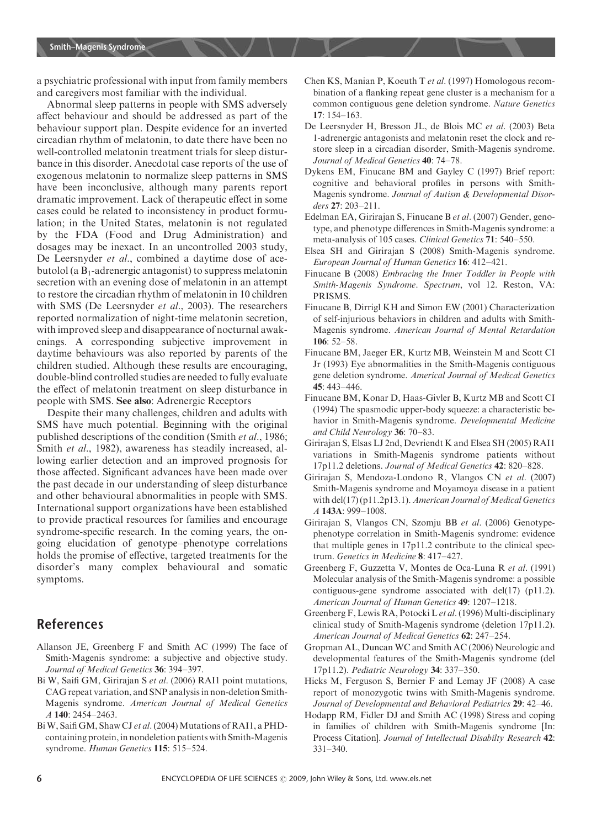a psychiatric professional with input from family members and caregivers most familiar with the individual.

Abnormal sleep patterns in people with SMS adversely affect behaviour and should be addressed as part of the behaviour support plan. Despite evidence for an inverted circadian rhythm of melatonin, to date there have been no well-controlled melatonin treatment trials for sleep disturbance in this disorder. Anecdotal case reports of the use of exogenous melatonin to normalize sleep patterns in SMS have been inconclusive, although many parents report dramatic improvement. Lack of therapeutic effect in some cases could be related to inconsistency in product formulation; in the United States, melatonin is not regulated by the FDA (Food and Drug Administration) and dosages may be inexact. In an uncontrolled 2003 study, De Leersnyder et al., combined a daytime dose of acebutolol (a  $B_1$ -adrenergic antagonist) to suppress melatonin secretion with an evening dose of melatonin in an attempt to restore the circadian rhythm of melatonin in 10 children with SMS (De Leersnyder *et al.*, 2003). The researchers reported normalization of night-time melatonin secretion, with improved sleep and disappearance of nocturnal awakenings. A corresponding subjective improvement in daytime behaviours was also reported by parents of the children studied. Although these results are encouraging, double-blind controlled studies are needed to fully evaluate the effect of melatonin treatment on sleep disturbance in people with SMS. See also: Adrenergic Receptors

Despite their many challenges, children and adults with SMS have much potential. Beginning with the original published descriptions of the condition (Smith et al., 1986; Smith et al., 1982), awareness has steadily increased, allowing earlier detection and an improved prognosis for those affected. Significant advances have been made over the past decade in our understanding of sleep disturbance and other behavioural abnormalities in people with SMS. International support organizations have been established to provide practical resources for families and encourage syndrome-specific research. In the coming years, the ongoing elucidation of genotype–phenotype correlations holds the promise of effective, targeted treatments for the disorder's many complex behavioural and somatic symptoms.

## References

- Allanson JE, Greenberg F and Smith AC (1999) The face of Smith-Magenis syndrome: a subjective and objective study. Journal of Medical Genetics 36: 394–397.
- Bi W, Saifi GM, Girirajan S et al. (2006) RAI1 point mutations, CAG repeat variation, and SNP analysis in non-deletion Smith-Magenis syndrome. American Journal of Medical Genetics A 140: 2454–2463.
- BiW, Saifi GM, Shaw CJ et al. (2004) Mutations of RAI1, a PHDcontaining protein, in nondeletion patients with Smith-Magenis syndrome. Human Genetics 115: 515–524.
- Chen KS, Manian P, Koeuth T et al. (1997) Homologous recombination of a flanking repeat gene cluster is a mechanism for a common contiguous gene deletion syndrome. Nature Genetics 17: 154–163.
- De Leersnyder H, Bresson JL, de Blois MC et al. (2003) Beta 1-adrenergic antagonists and melatonin reset the clock and restore sleep in a circadian disorder, Smith-Magenis syndrome. Journal of Medical Genetics 40: 74–78.
- Dykens EM, Finucane BM and Gayley C (1997) Brief report: cognitive and behavioral profiles in persons with Smith-Magenis syndrome. Journal of Autism & Developmental Disorders 27: 203–211.
- Edelman EA, Girirajan S, Finucane B et al. (2007) Gender, genotype, and phenotype differences in Smith-Magenis syndrome: a meta-analysis of 105 cases. Clinical Genetics 71: 540–550.
- Elsea SH and Girirajan S (2008) Smith-Magenis syndrome. European Journal of Human Genetics 16: 412–421.
- Finucane B (2008) Embracing the Inner Toddler in People with Smith-Magenis Syndrome. Spectrum, vol 12. Reston, VA: PRISMS.
- Finucane B, Dirrigl KH and Simon EW (2001) Characterization of self-injurious behaviors in children and adults with Smith-Magenis syndrome. American Journal of Mental Retardation 106: 52–58.
- Finucane BM, Jaeger ER, Kurtz MB, Weinstein M and Scott CI Jr (1993) Eye abnormalities in the Smith-Magenis contiguous gene deletion syndrome. Americal Journal of Medical Genetics 45: 443–446.
- Finucane BM, Konar D, Haas-Givler B, Kurtz MB and Scott CI (1994) The spasmodic upper-body squeeze: a characteristic behavior in Smith-Magenis syndrome. Developmental Medicine and Child Neurology 36: 70–83.
- Girirajan S, Elsas LJ 2nd, Devriendt K and Elsea SH (2005) RAI1 variations in Smith-Magenis syndrome patients without 17p11.2 deletions. Journal of Medical Genetics 42: 820–828.
- Girirajan S, Mendoza-Londono R, Vlangos CN et al. (2007) Smith-Magenis syndrome and Moyamoya disease in a patient with del(17) (p11.2p13.1). American Journal of Medical Genetics A 143A: 999–1008.
- Girirajan S, Vlangos CN, Szomju BB et al. (2006) Genotypephenotype correlation in Smith-Magenis syndrome: evidence that multiple genes in 17p11.2 contribute to the clinical spectrum. Genetics in Medicine 8: 417–427.
- Greenberg F, Guzzetta V, Montes de Oca-Luna R et al. (1991) Molecular analysis of the Smith-Magenis syndrome: a possible contiguous-gene syndrome associated with del(17) (p11.2). American Journal of Human Genetics 49: 1207–1218.
- Greenberg F, Lewis RA, Potocki Let al. (1996) Multi-disciplinary clinical study of Smith-Magenis syndrome (deletion 17p11.2). American Journal of Medical Genetics 62: 247–254.
- Gropman AL, Duncan WC and Smith AC (2006) Neurologic and developmental features of the Smith-Magenis syndrome (del 17p11.2). Pediatric Neurology 34: 337–350.
- Hicks M, Ferguson S, Bernier F and Lemay JF (2008) A case report of monozygotic twins with Smith-Magenis syndrome. Journal of Developmental and Behavioral Pediatrics 29: 42–46.
- Hodapp RM, Fidler DJ and Smith AC (1998) Stress and coping in families of children with Smith-Magenis syndrome [In: Process Citation]. Journal of Intellectual Disabilty Research 42: 331–340.